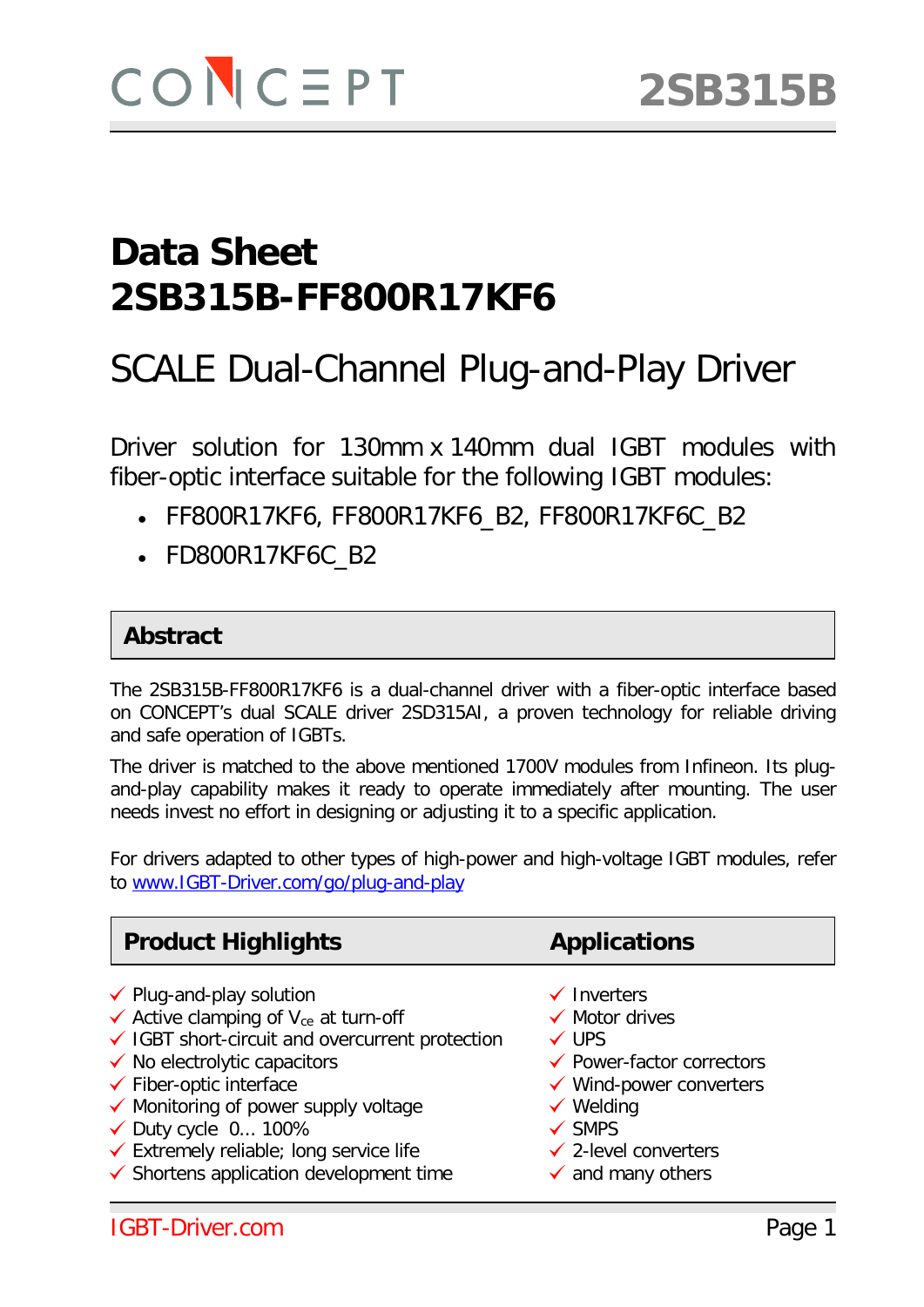# SCALE Dual-Channel Plug-and-Play Driver

Driver solution for 130mm x 140mm dual IGBT modules with fiber-optic interface suitable for the following IGBT modules:

- FF800R17KF6, FF800R17KF6\_B2, FF800R17KF6C\_B2
- FD800R17KF6C\_B2

#### **Abstract**

The 2SB315B-FF800R17KF6 is a dual-channel driver with a fiber-optic interface based on CONCEPT's dual SCALE driver 2SD315AI, a proven technology for reliable driving and safe operation of IGBTs.

The driver is matched to the above mentioned 1700V modules from Infineon. Its plugand-play capability makes it ready to operate immediately after mounting. The user needs invest no effort in designing or adjusting it to a specific application.

For drivers adapted to other types of high-power and high-voltage IGBT modules, refer to [www.IGBT-Driver.com/go/plug-and-play](http://www.igbt-driver.com/go/plug-and-play)

| <b>Product Highlights</b>                                   | <b>Applications</b>                  |
|-------------------------------------------------------------|--------------------------------------|
| $\checkmark$ Plug-and-play solution                         | $\checkmark$ Inverters               |
| $\checkmark$ Active clamping of V <sub>ce</sub> at turn-off | $\checkmark$ Motor drives            |
| $\checkmark$ IGBT short-circuit and overcurrent protection  | $\checkmark$ UPS                     |
| $\checkmark$ No electrolytic capacitors                     | $\checkmark$ Power-factor correctors |
| $\checkmark$ Fiber-optic interface                          | $\checkmark$ Wind-power converters   |
| ✔ Monitoring of power supply voltage                        | $\checkmark$ Welding                 |
| $\checkmark$ Duty cycle 0 100%                              | $\checkmark$ SMPS                    |
| ✔ Extremely reliable; long service life                     | $\checkmark$ 2-level converters      |
| $\checkmark$ Shortens application development time          | $\checkmark$ and many others         |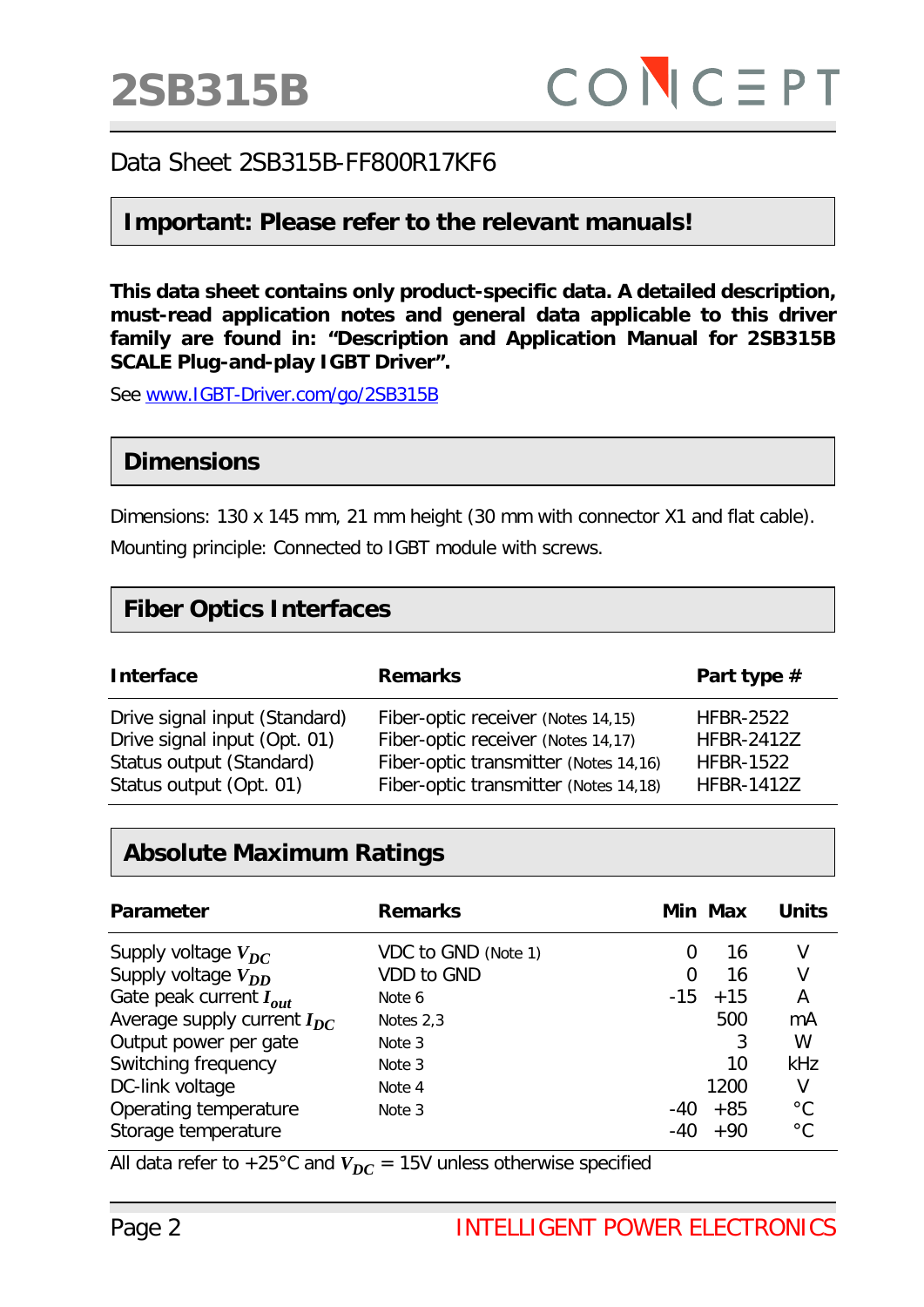

### **Important: Please refer to the relevant manuals!**

**This data sheet contains only product-specific data. A detailed description, must-read application notes and general data applicable to this driver family are found in: "Description and Application Manual for 2SB315B SCALE Plug-and-play IGBT Driver".**

See [www.IGBT-Driver.com/go/2SB315B](http://www.igbt-driver.com/go/2SB315B) 

#### **Dimensions**

Dimensions: 130 x 145 mm, 21 mm height (30 mm with connector X1 and flat cable).

Mounting principle: Connected to IGBT module with screws.

#### **Fiber Optics Interfaces**

| <b>Interface</b>              | <b>Remarks</b>                        | Part type $#$     |
|-------------------------------|---------------------------------------|-------------------|
| Drive signal input (Standard) | Fiber-optic receiver (Notes 14,15)    | <b>HFBR-2522</b>  |
| Drive signal input (Opt. 01)  | Fiber-optic receiver (Notes 14,17)    | <b>HFBR-2412Z</b> |
| Status output (Standard)      | Fiber-optic transmitter (Notes 14,16) | <b>HFBR-1522</b>  |
| Status output (Opt. 01)       | Fiber-optic transmitter (Notes 14,18) | <b>HFBR-1412Z</b> |

#### **Absolute Maximum Ratings**

| <b>Parameter</b>                | <b>Remarks</b>      |       | Min Max | <b>Units</b> |
|---------------------------------|---------------------|-------|---------|--------------|
| Supply voltage $V_{DC}$         | VDC to GND (Note 1) | O     | 16      | V            |
| Supply voltage $V_{DD}$         | VDD to GND          | 0     | 16      |              |
| Gate peak current $I_{out}$     | Note 6              | $-15$ | $+15$   | A            |
| Average supply current $I_{DC}$ | Notes 2,3           |       | 500     | mA           |
| Output power per gate           | Note 3              |       |         | W            |
| Switching frequency             | Note 3              |       | 10      | kHz          |
| DC-link voltage                 | Note 4              |       | 1200    | V            |
| Operating temperature           | Note 3              | -40   | $+85$   | $^{\circ}C$  |
| Storage temperature             |                     | $-40$ | $+90$   | $^{\circ}C$  |

All data refer to +25°C and  $V_{DC}$  = 15V unless otherwise specified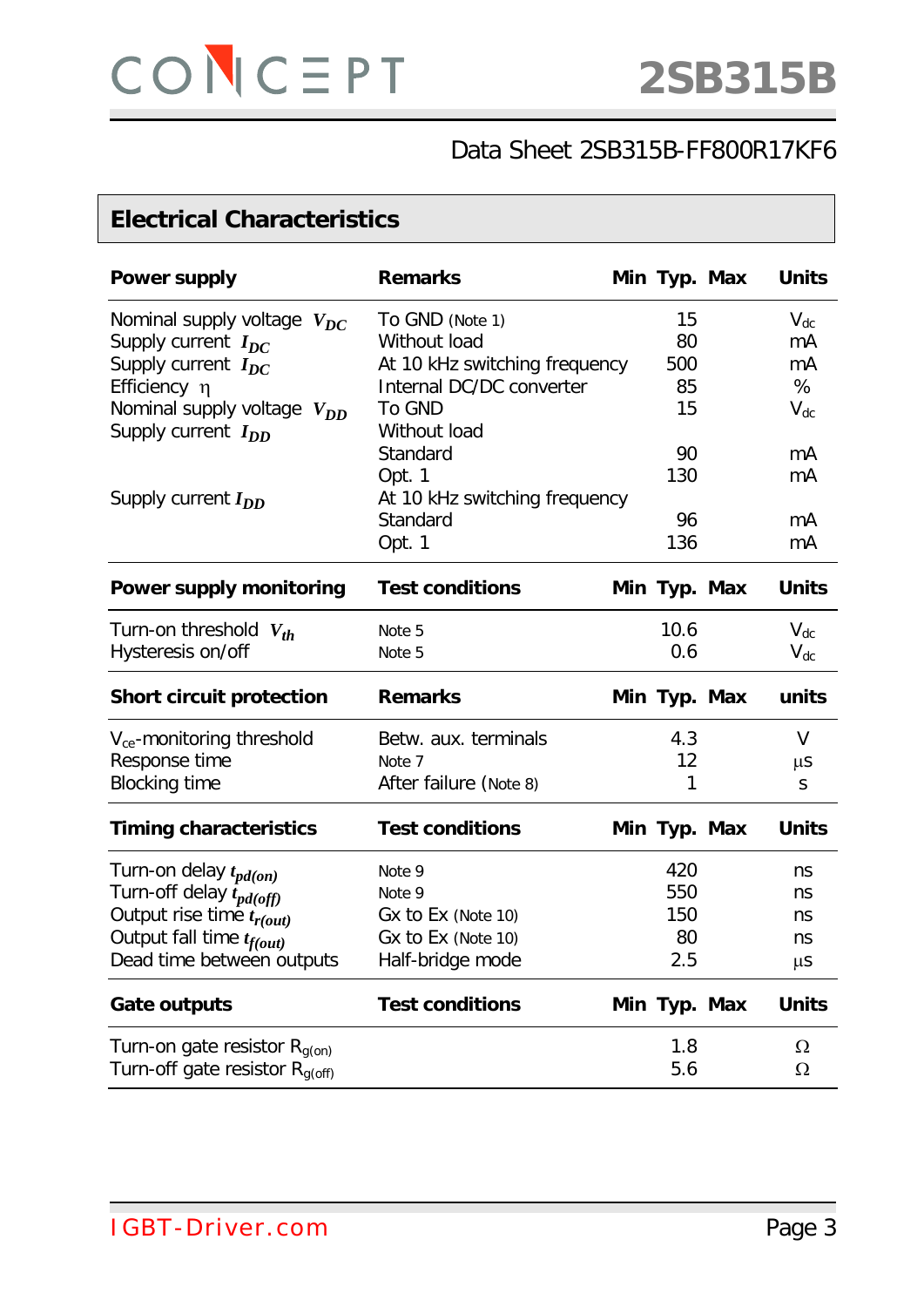

#### **Electrical Characteristics**

| <b>Power supply</b>                 | <b>Remarks</b>                | Min Typ. Max | <b>Units</b> |
|-------------------------------------|-------------------------------|--------------|--------------|
| Nominal supply voltage $V_{DC}$     | To GND (Note 1)               | 15           | $V_{dc}$     |
| Supply current $I_{DC}$             | Without load                  | 80           | mA           |
| Supply current $I_{DC}$             | At 10 kHz switching frequency | 500          | mA           |
| Efficiency η                        | Internal DC/DC converter      | 85           | %            |
| Nominal supply voltage $V_{DD}$     | <b>To GND</b>                 | 15           | $V_{dc}$     |
| Supply current $I_{DD}$             | Without load                  |              |              |
|                                     | Standard                      | 90           | mA           |
|                                     | Opt. 1                        | 130          | mA           |
| Supply current $I_{DD}$             | At 10 kHz switching frequency |              |              |
|                                     | Standard                      | 96           | mA           |
|                                     | Opt. 1                        | 136          | mA           |
| <b>Power supply monitoring</b>      | <b>Test conditions</b>        | Min Typ. Max | <b>Units</b> |
| Turn-on threshold $V_{th}$          | Note 5                        | 10.6         | $V_{dc}$     |
| Hysteresis on/off                   | Note 5                        | 0.6          | $V_{dc}$     |
| <b>Short circuit protection</b>     | <b>Remarks</b>                | Min Typ. Max | units        |
| $V_{ce}$ -monitoring threshold      | Betw. aux. terminals          | 4.3          | V            |
| Response time                       | Note 7                        | 12           | $\mu$ S      |
| <b>Blocking time</b>                | After failure (Note 8)        | 1            | $\mathsf{S}$ |
| <b>Timing characteristics</b>       | <b>Test conditions</b>        | Min Typ. Max | <b>Units</b> |
| Turn-on delay $t_{pd(on)}$          | Note 9                        | 420          | ns           |
| Turn-off delay $\bar{t}_{pd(off)}$  | Note 9                        | 550          | ns           |
| Output rise time $t_{r(out)}$       | Gx to Ex (Note 10)            | 150          | ns           |
| Output fall time $t_{f(out)}$       | Gx to Ex (Note 10)            | 80           | ns           |
| Dead time between outputs           | Half-bridge mode              | 2.5          | $\mu$ S      |
| <b>Gate outputs</b>                 | <b>Test conditions</b>        | Min Typ. Max | <b>Units</b> |
| Turn-on gate resistor $R_{q(0n)}$   |                               | 1.8          | Ω            |
| Turn-off gate resistor $R_{q(off)}$ |                               | 5.6          | Ω            |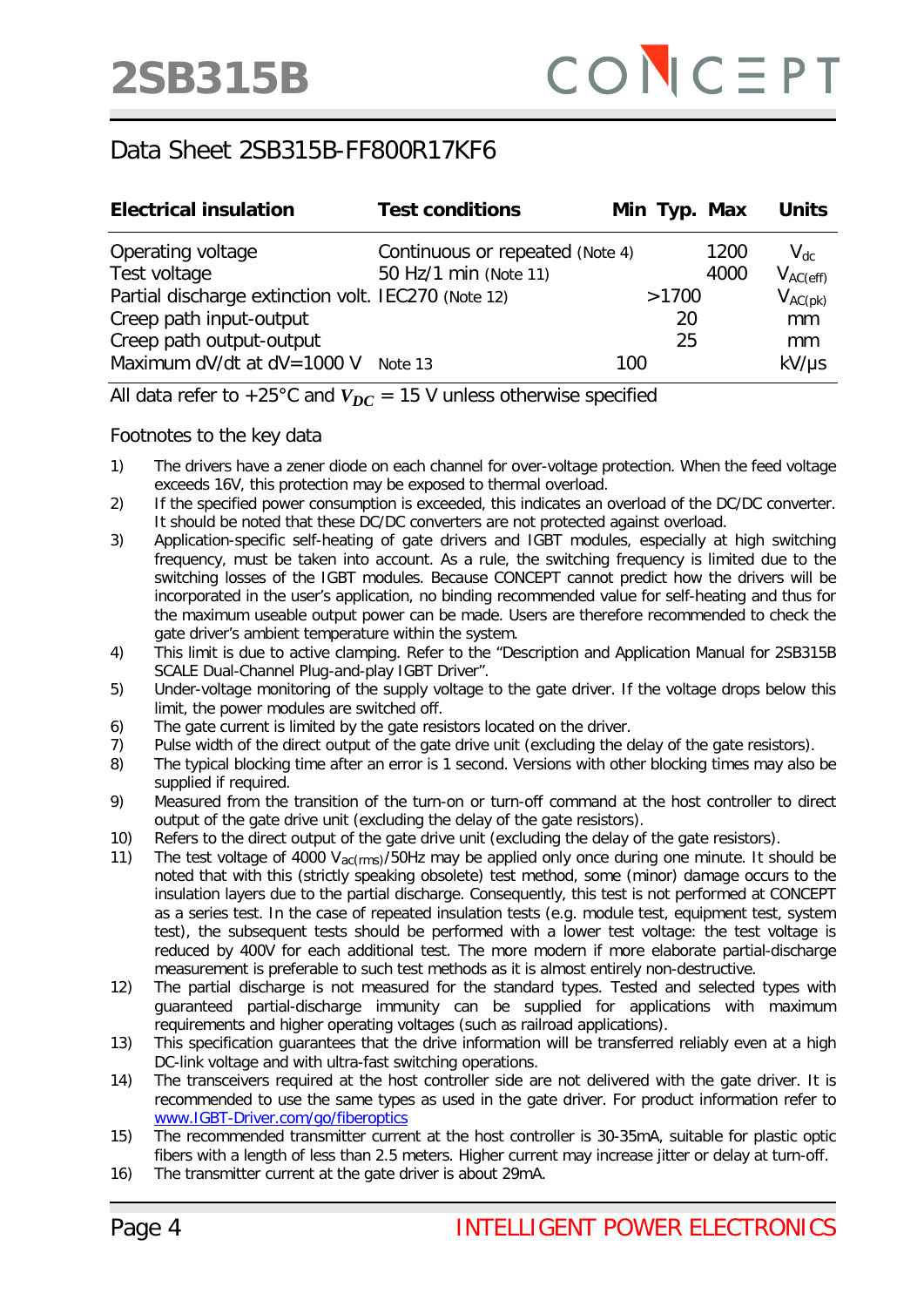| <b>Electrical insulation</b>                        | <b>Test conditions</b>          |     | Min Typ. Max |      | <b>Units</b>  |
|-----------------------------------------------------|---------------------------------|-----|--------------|------|---------------|
| Operating voltage                                   | Continuous or repeated (Note 4) |     |              | 1200 | $V_{dc}$      |
| Test voltage                                        | 50 Hz/1 min (Note 11)           |     |              | 4000 | $V_{AC(eff)}$ |
| Partial discharge extinction volt. IEC270 (Note 12) |                                 |     | >1700        |      | $V_{AC(pk)}$  |
| Creep path input-output                             |                                 |     | 20           |      | mm            |
| Creep path output-output                            |                                 |     | 25           |      | mm            |
| Maximum dV/dt at dV=1000 V                          | Note 13                         | 100 |              |      | $kV/ \mu s$   |

All data refer to +25°C and  $V_{DC}$  = 15 V unless otherwise specified

#### Footnotes to the key data

- 1) The drivers have a zener diode on each channel for over-voltage protection. When the feed voltage exceeds 16V, this protection may be exposed to thermal overload.
- 2) If the specified power consumption is exceeded, this indicates an overload of the DC/DC converter. It should be noted that these DC/DC converters are not protected against overload.
- 3) Application-specific self-heating of gate drivers and IGBT modules, especially at high switching frequency, must be taken into account. As a rule, the switching frequency is limited due to the switching losses of the IGBT modules. Because CONCEPT cannot predict how the drivers will be incorporated in the user's application, no binding recommended value for self-heating and thus for the maximum useable output power can be made. Users are therefore recommended to check the gate driver's ambient temperature within the system.
- 4) This limit is due to active clamping. Refer to the "Description and Application Manual for 2SB315B SCALE Dual-Channel Plug-and-play IGBT Driver".
- 5) Under-voltage monitoring of the supply voltage to the gate driver. If the voltage drops below this limit, the power modules are switched off.
- 6) The gate current is limited by the gate resistors located on the driver.
- 7) Pulse width of the direct output of the gate drive unit (excluding the delay of the gate resistors).
- 8) The typical blocking time after an error is 1 second. Versions with other blocking times may also be supplied if required.
- 9) Measured from the transition of the turn-on or turn-off command at the host controller to direct output of the gate drive unit (excluding the delay of the gate resistors).
- 10) Refers to the direct output of the gate drive unit (excluding the delay of the gate resistors).
- 11) The test voltage of 4000  $V_{\text{ac(rms)}}$ /50Hz may be applied only once during one minute. It should be noted that with this (strictly speaking obsolete) test method, some (minor) damage occurs to the insulation layers due to the partial discharge. Consequently, this test is not performed at CONCEPT as a series test. In the case of repeated insulation tests (e.g. module test, equipment test, system test), the subsequent tests should be performed with a lower test voltage: the test voltage is reduced by 400V for each additional test. The more modern if more elaborate partial-discharge measurement is preferable to such test methods as it is almost entirely non-destructive.
- 12) The partial discharge is not measured for the standard types. Tested and selected types with guaranteed partial-discharge immunity can be supplied for applications with maximum requirements and higher operating voltages (such as railroad applications).
- 13) This specification guarantees that the drive information will be transferred reliably even at a high DC-link voltage and with ultra-fast switching operations.
- 14) The transceivers required at the host controller side are not delivered with the gate driver. It is recommended to use the same types as used in the gate driver. For product information refer to [www.IGBT-Driver.com/go/fiberoptics](http://www.igbt-driver.com/go/fiberoptics)
- 15) The recommended transmitter current at the host controller is 30-35mA, suitable for plastic optic fibers with a length of less than 2.5 meters. Higher current may increase jitter or delay at turn-off.
- 16) The transmitter current at the gate driver is about 29mA.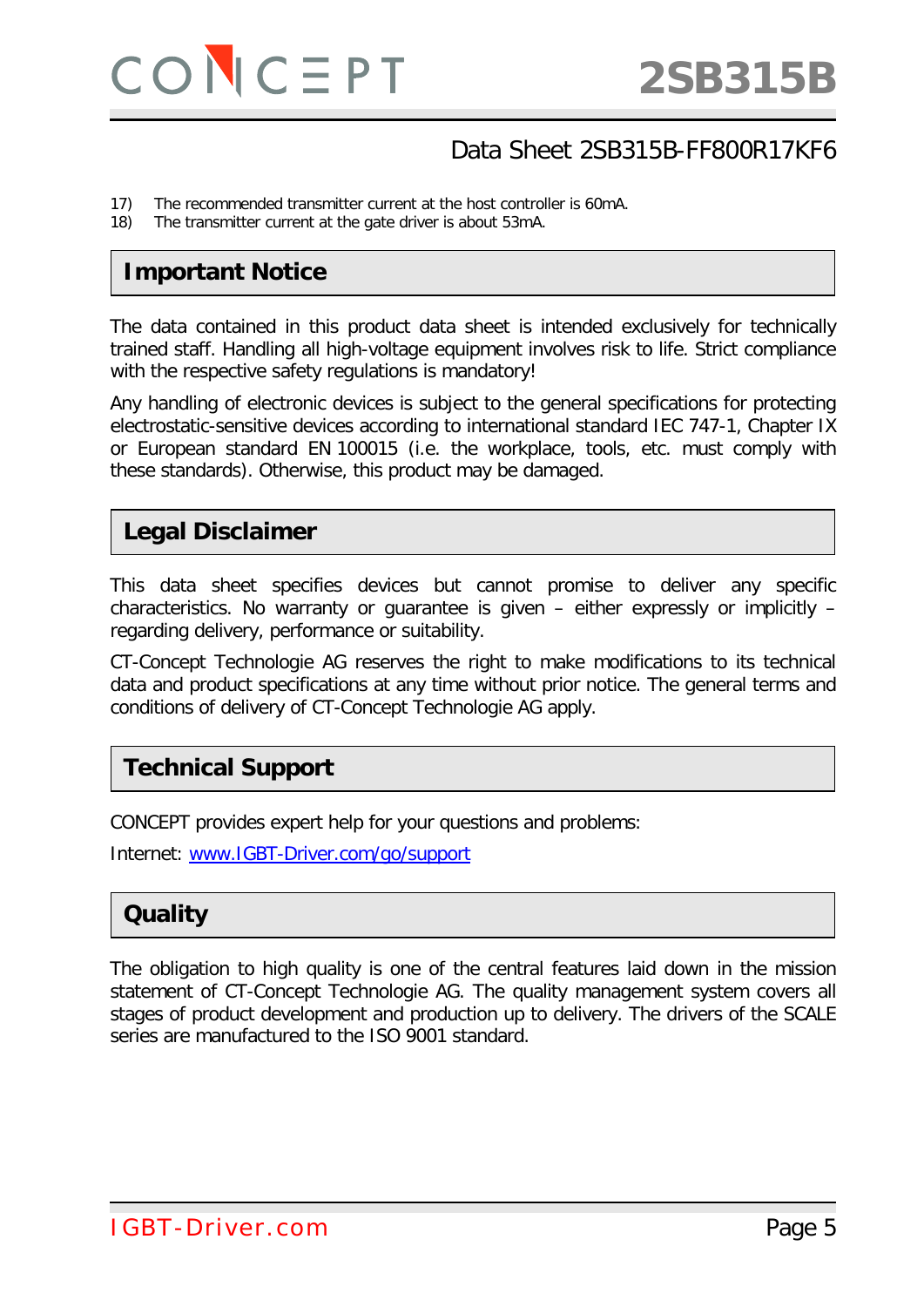

- 17) The recommended transmitter current at the host controller is 60mA.
- 18) The transmitter current at the gate driver is about 53mA.

#### **Important Notice**

The data contained in this product data sheet is intended exclusively for technically trained staff. Handling all high-voltage equipment involves risk to life. Strict compliance with the respective safety regulations is mandatory!

Any handling of electronic devices is subject to the general specifications for protecting electrostatic-sensitive devices according to international standard IEC 747-1, Chapter IX or European standard EN 100015 (i.e. the workplace, tools, etc. must comply with these standards). Otherwise, this product may be damaged.

#### **Legal Disclaimer**

This data sheet specifies devices but cannot promise to deliver any specific characteristics. No warranty or guarantee is given – either expressly or implicitly – regarding delivery, performance or suitability.

CT-Concept Technologie AG reserves the right to make modifications to its technical data and product specifications at any time without prior notice. The general terms and conditions of delivery of CT-Concept Technologie AG apply.

#### **Technical Support**

CONCEPT provides expert help for your questions and problems:

Internet: [www.IGBT-Driver.com/go/support](http://www.igbt-driver.com/go/Support)

#### **Quality**

The obligation to high quality is one of the central features laid down in the mission statement of CT-Concept Technologie AG. The quality management system covers all stages of product development and production up to delivery. The drivers of the SCALE series are manufactured to the ISO 9001 standard.